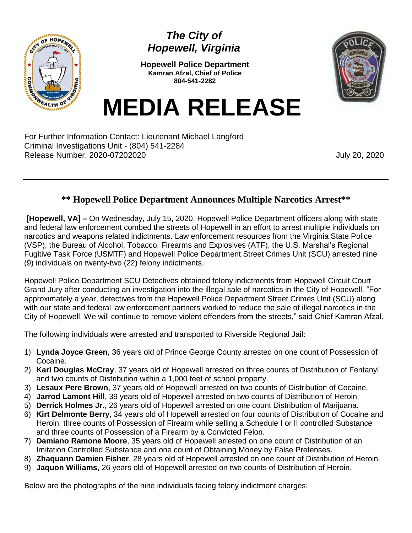

## *The City of Hopewell, Virginia*

**Hopewell Police Department Kamran Afzal, Chief of Police 804-541-2282**



**MEDIA RELEASE**

For Further Information Contact: Lieutenant Michael Langford Criminal Investigations Unit - (804) 541-2284 Release Number: 2020-07202020 **July 20, 2020** 

## **\*\* Hopewell Police Department Announces Multiple Narcotics Arrest\*\***

**[Hopewell, VA] –** On Wednesday, July 15, 2020, Hopewell Police Department officers along with state and federal law enforcement combed the streets of Hopewell in an effort to arrest multiple individuals on narcotics and weapons related indictments. Law enforcement resources from the Virginia State Police (VSP), the Bureau of Alcohol, Tobacco, Firearms and Explosives (ATF), the U.S. Marshal's Regional Fugitive Task Force (USMTF) and Hopewell Police Department Street Crimes Unit (SCU) arrested nine (9) individuals on twenty-two (22) felony indictments.

Hopewell Police Department SCU Detectives obtained felony indictments from Hopewell Circuit Court Grand Jury after conducting an investigation into the illegal sale of narcotics in the City of Hopewell. "For approximately a year, detectives from the Hopewell Police Department Street Crimes Unit (SCU) along with our state and federal law enforcement partners worked to reduce the sale of illegal narcotics in the City of Hopewell. We will continue to remove violent offenders from the streets," said Chief Kamran Afzal.

The following individuals were arrested and transported to Riverside Regional Jail:

- 1) **Lynda Joyce Green**, 36 years old of Prince George County arrested on one count of Possession of Cocaine.
- 2) **Karl Douglas McCray**, 37 years old of Hopewell arrested on three counts of Distribution of Fentanyl and two counts of Distribution within a 1,000 feet of school property.
- 3) **Lesaux Pere Brown**, 37 years old of Hopewell arrested on two counts of Distribution of Cocaine.
- 4) **Jarrod Lamont Hill**, 39 years old of Hopewell arrested on two counts of Distribution of Heroin.
- 5) **Derrick Holmes Jr**., 26 years old of Hopewell arrested on one count Distribution of Marijuana.
- 6) **Kirt Delmonte Berry**, 34 years old of Hopewell arrested on four counts of Distribution of Cocaine and Heroin, three counts of Possession of Firearm while selling a Schedule I or II controlled Substance and three counts of Possession of a Firearm by a Convicted Felon.
- 7) **Damiano Ramone Moore**, 35 years old of Hopewell arrested on one count of Distribution of an Imitation Controlled Substance and one count of Obtaining Money by False Pretenses.
- 8) **Zhaquann Damien Fisher**, 28 years old of Hopewell arrested on one count of Distribution of Heroin.
- 9) **Jaquon Williams**, 26 years old of Hopewell arrested on two counts of Distribution of Heroin.

Below are the photographs of the nine individuals facing felony indictment charges: